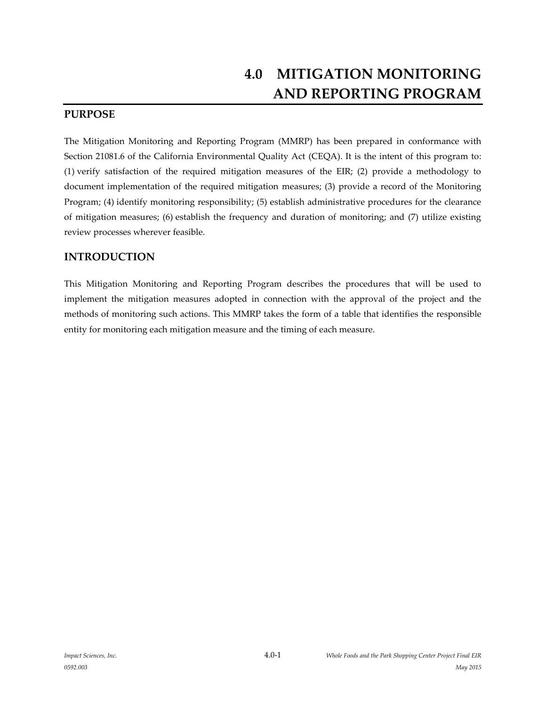## **PURPOSE**

The Mitigation Monitoring and Reporting Program (MMRP) has been prepared in conformance with Section 21081.6 of the California Environmental Quality Act (CEQA). It is the intent of this program to: (1) verify satisfaction of the required mitigation measures of the EIR; (2) provide a methodology to document implementation of the required mitigation measures; (3) provide a record of the Monitoring Program; (4) identify monitoring responsibility; (5) establish administrative procedures for the clearance of mitigation measures; (6) establish the frequency and duration of monitoring; and (7) utilize existing review processes wherever feasible.

## **INTRODUCTION**

This Mitigation Monitoring and Reporting Program describes the procedures that will be used to implement the mitigation measures adopted in connection with the approval of the project and the methods of monitoring such actions. This MMRP takes the form of a table that identifies the responsible entity for monitoring each mitigation measure and the timing of each measure.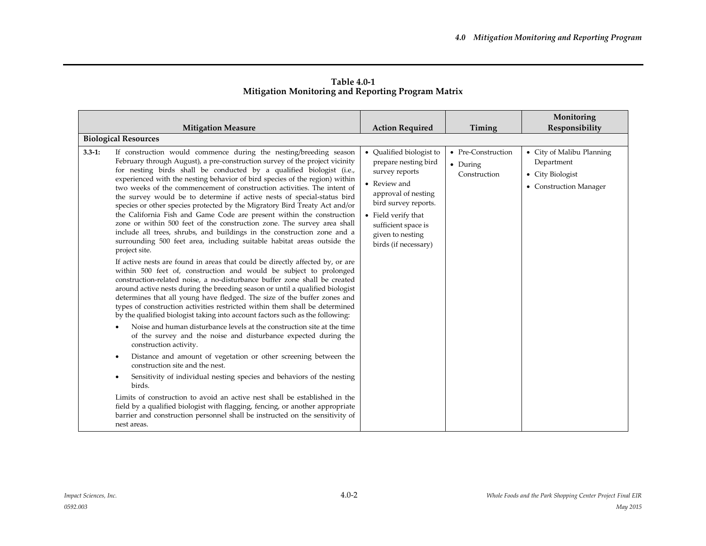|            | <b>Mitigation Measure</b><br><b>Biological Resources</b>                                                                                                                                                                                                                                                                                                                                                                                                                                                                                                                                                                                                                                                                                                                                                                                                                                                                                                                                                                                                                                                                                                                                                                                                                                                                                                                                                                                                                                                                                                                                                                                                                                                                                                                                                                                                                                                                                                                                                                                                                                   | <b>Action Required</b>                                                                                                                                                                                                      | Timing                                         | Monitoring<br>Responsibility                                                          |
|------------|--------------------------------------------------------------------------------------------------------------------------------------------------------------------------------------------------------------------------------------------------------------------------------------------------------------------------------------------------------------------------------------------------------------------------------------------------------------------------------------------------------------------------------------------------------------------------------------------------------------------------------------------------------------------------------------------------------------------------------------------------------------------------------------------------------------------------------------------------------------------------------------------------------------------------------------------------------------------------------------------------------------------------------------------------------------------------------------------------------------------------------------------------------------------------------------------------------------------------------------------------------------------------------------------------------------------------------------------------------------------------------------------------------------------------------------------------------------------------------------------------------------------------------------------------------------------------------------------------------------------------------------------------------------------------------------------------------------------------------------------------------------------------------------------------------------------------------------------------------------------------------------------------------------------------------------------------------------------------------------------------------------------------------------------------------------------------------------------|-----------------------------------------------------------------------------------------------------------------------------------------------------------------------------------------------------------------------------|------------------------------------------------|---------------------------------------------------------------------------------------|
| $3.3 - 1:$ | If construction would commence during the nesting/breeding season<br>February through August), a pre-construction survey of the project vicinity<br>for nesting birds shall be conducted by a qualified biologist (i.e.,<br>experienced with the nesting behavior of bird species of the region) within<br>two weeks of the commencement of construction activities. The intent of<br>the survey would be to determine if active nests of special-status bird<br>species or other species protected by the Migratory Bird Treaty Act and/or<br>the California Fish and Game Code are present within the construction<br>zone or within 500 feet of the construction zone. The survey area shall<br>include all trees, shrubs, and buildings in the construction zone and a<br>surrounding 500 feet area, including suitable habitat areas outside the<br>project site.<br>If active nests are found in areas that could be directly affected by, or are<br>within 500 feet of, construction and would be subject to prolonged<br>construction-related noise, a no-disturbance buffer zone shall be created<br>around active nests during the breeding season or until a qualified biologist<br>determines that all young have fledged. The size of the buffer zones and<br>types of construction activities restricted within them shall be determined<br>by the qualified biologist taking into account factors such as the following:<br>Noise and human disturbance levels at the construction site at the time<br>of the survey and the noise and disturbance expected during the<br>construction activity.<br>Distance and amount of vegetation or other screening between the<br>$\bullet$<br>construction site and the nest.<br>Sensitivity of individual nesting species and behaviors of the nesting<br>٠<br>birds.<br>Limits of construction to avoid an active nest shall be established in the<br>field by a qualified biologist with flagging, fencing, or another appropriate<br>barrier and construction personnel shall be instructed on the sensitivity of<br>nest areas. | • Qualified biologist to<br>prepare nesting bird<br>survey reports<br>• Review and<br>approval of nesting<br>bird survey reports.<br>• Field verify that<br>sufficient space is<br>given to nesting<br>birds (if necessary) | • Pre-Construction<br>• During<br>Construction | • City of Malibu Planning<br>Department<br>• City Biologist<br>• Construction Manager |

**Table 4.0-1 Mitigation Monitoring and Reporting Program Matrix**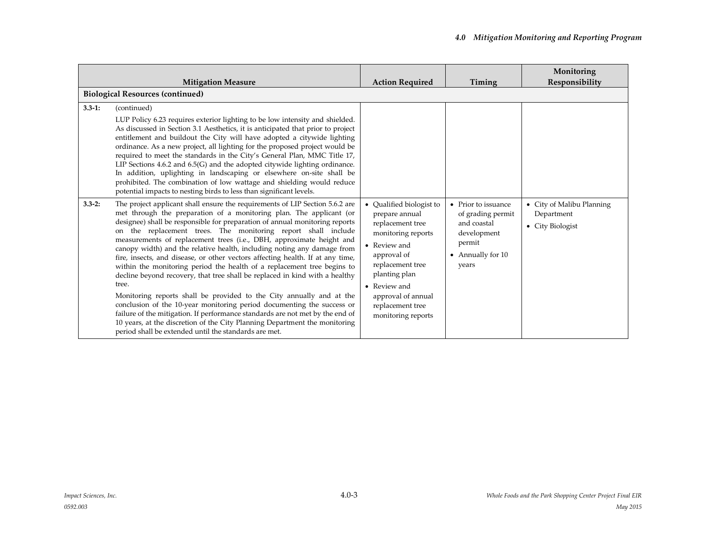|            | <b>Mitigation Measure</b>                                                                                                                                                                                                                                                                                                                                                                                                                                                                                                                                                                                                                                                                                                                                                                                                                                                                                                                                                                                                                                                             | <b>Action Required</b>                                                                                                                                                                                                                 | Timing                                                                                                           | Monitoring<br>Responsibility                                |
|------------|---------------------------------------------------------------------------------------------------------------------------------------------------------------------------------------------------------------------------------------------------------------------------------------------------------------------------------------------------------------------------------------------------------------------------------------------------------------------------------------------------------------------------------------------------------------------------------------------------------------------------------------------------------------------------------------------------------------------------------------------------------------------------------------------------------------------------------------------------------------------------------------------------------------------------------------------------------------------------------------------------------------------------------------------------------------------------------------|----------------------------------------------------------------------------------------------------------------------------------------------------------------------------------------------------------------------------------------|------------------------------------------------------------------------------------------------------------------|-------------------------------------------------------------|
|            | <b>Biological Resources (continued)</b>                                                                                                                                                                                                                                                                                                                                                                                                                                                                                                                                                                                                                                                                                                                                                                                                                                                                                                                                                                                                                                               |                                                                                                                                                                                                                                        |                                                                                                                  |                                                             |
| $3.3 - 1:$ | (continued)<br>LUP Policy 6.23 requires exterior lighting to be low intensity and shielded.<br>As discussed in Section 3.1 Aesthetics, it is anticipated that prior to project<br>entitlement and buildout the City will have adopted a citywide lighting<br>ordinance. As a new project, all lighting for the proposed project would be<br>required to meet the standards in the City's General Plan, MMC Title 17,<br>LIP Sections 4.6.2 and 6.5(G) and the adopted citywide lighting ordinance.<br>In addition, uplighting in landscaping or elsewhere on-site shall be<br>prohibited. The combination of low wattage and shielding would reduce<br>potential impacts to nesting birds to less than significant levels.                                                                                                                                                                                                                                                                                                                                                            |                                                                                                                                                                                                                                        |                                                                                                                  |                                                             |
| $3.3 - 2:$ | The project applicant shall ensure the requirements of LIP Section 5.6.2 are<br>met through the preparation of a monitoring plan. The applicant (or<br>designee) shall be responsible for preparation of annual monitoring reports<br>on the replacement trees. The monitoring report shall include<br>measurements of replacement trees (i.e., DBH, approximate height and<br>canopy width) and the relative health, including noting any damage from<br>fire, insects, and disease, or other vectors affecting health. If at any time,<br>within the monitoring period the health of a replacement tree begins to<br>decline beyond recovery, that tree shall be replaced in kind with a healthy<br>tree.<br>Monitoring reports shall be provided to the City annually and at the<br>conclusion of the 10-year monitoring period documenting the success or<br>failure of the mitigation. If performance standards are not met by the end of<br>10 years, at the discretion of the City Planning Department the monitoring<br>period shall be extended until the standards are met. | Qualified biologist to<br>prepare annual<br>replacement tree<br>monitoring reports<br>• Review and<br>approval of<br>replacement tree<br>planting plan<br>• Review and<br>approval of annual<br>replacement tree<br>monitoring reports | • Prior to issuance<br>of grading permit<br>and coastal<br>development<br>permit<br>- Annually for $10$<br>years | • City of Malibu Planning<br>Department<br>• City Biologist |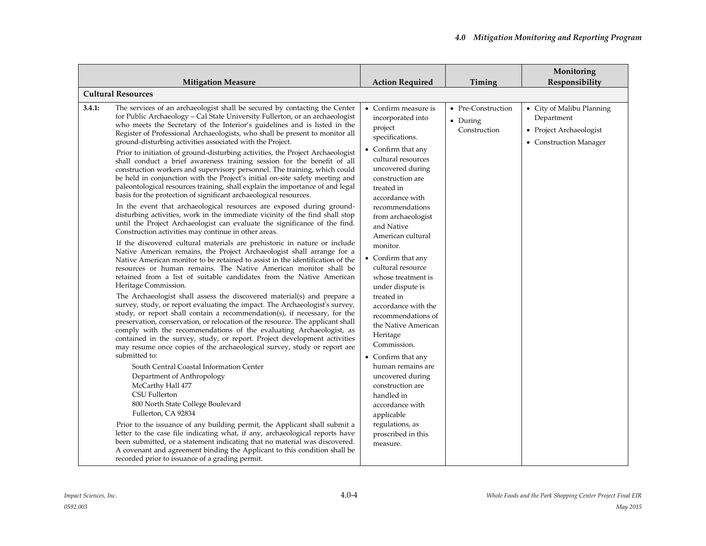|                                                                                                                                                                                                                                                                                                                                                                                                                                                                                                                                                                                                                                                                                                                                                                                                                                                                                                                                                                                                                                                                                                                                                                                                                                                                                                                                                                                                                                                                                                                                                                                                                                                                                                                                                                                                                                                                                                                                                                                                                                                                                                                                                                                                                                                                                                                                                                                                                                                                                                                                                                                                                                                                                                                             |                                                                                                                                                                                                                                                                                                                                                                                                                                                                                                                                                                                                                                                                               |                                                | Monitoring                                                                                   |
|-----------------------------------------------------------------------------------------------------------------------------------------------------------------------------------------------------------------------------------------------------------------------------------------------------------------------------------------------------------------------------------------------------------------------------------------------------------------------------------------------------------------------------------------------------------------------------------------------------------------------------------------------------------------------------------------------------------------------------------------------------------------------------------------------------------------------------------------------------------------------------------------------------------------------------------------------------------------------------------------------------------------------------------------------------------------------------------------------------------------------------------------------------------------------------------------------------------------------------------------------------------------------------------------------------------------------------------------------------------------------------------------------------------------------------------------------------------------------------------------------------------------------------------------------------------------------------------------------------------------------------------------------------------------------------------------------------------------------------------------------------------------------------------------------------------------------------------------------------------------------------------------------------------------------------------------------------------------------------------------------------------------------------------------------------------------------------------------------------------------------------------------------------------------------------------------------------------------------------------------------------------------------------------------------------------------------------------------------------------------------------------------------------------------------------------------------------------------------------------------------------------------------------------------------------------------------------------------------------------------------------------------------------------------------------------------------------------------------------|-------------------------------------------------------------------------------------------------------------------------------------------------------------------------------------------------------------------------------------------------------------------------------------------------------------------------------------------------------------------------------------------------------------------------------------------------------------------------------------------------------------------------------------------------------------------------------------------------------------------------------------------------------------------------------|------------------------------------------------|----------------------------------------------------------------------------------------------|
| <b>Mitigation Measure</b>                                                                                                                                                                                                                                                                                                                                                                                                                                                                                                                                                                                                                                                                                                                                                                                                                                                                                                                                                                                                                                                                                                                                                                                                                                                                                                                                                                                                                                                                                                                                                                                                                                                                                                                                                                                                                                                                                                                                                                                                                                                                                                                                                                                                                                                                                                                                                                                                                                                                                                                                                                                                                                                                                                   | <b>Action Required</b>                                                                                                                                                                                                                                                                                                                                                                                                                                                                                                                                                                                                                                                        | Timing                                         | Responsibility                                                                               |
| <b>Cultural Resources</b>                                                                                                                                                                                                                                                                                                                                                                                                                                                                                                                                                                                                                                                                                                                                                                                                                                                                                                                                                                                                                                                                                                                                                                                                                                                                                                                                                                                                                                                                                                                                                                                                                                                                                                                                                                                                                                                                                                                                                                                                                                                                                                                                                                                                                                                                                                                                                                                                                                                                                                                                                                                                                                                                                                   |                                                                                                                                                                                                                                                                                                                                                                                                                                                                                                                                                                                                                                                                               |                                                |                                                                                              |
| 3.4.1:<br>The services of an archaeologist shall be secured by contacting the Center<br>for Public Archaeology - Cal State University Fullerton, or an archaeologist<br>who meets the Secretary of the Interior's guidelines and is listed in the<br>Register of Professional Archaeologists, who shall be present to monitor all<br>ground-disturbing activities associated with the Project.<br>Prior to initiation of ground-disturbing activities, the Project Archaeologist<br>shall conduct a brief awareness training session for the benefit of all<br>construction workers and supervisory personnel. The training, which could<br>be held in conjunction with the Project's initial on-site safety meeting and<br>paleontological resources training, shall explain the importance of and legal<br>basis for the protection of significant archaeological resources.<br>In the event that archaeological resources are exposed during ground-<br>disturbing activities, work in the immediate vicinity of the find shall stop<br>until the Project Archaeologist can evaluate the significance of the find.<br>Construction activities may continue in other areas.<br>If the discovered cultural materials are prehistoric in nature or include<br>Native American remains, the Project Archaeologist shall arrange for a<br>Native American monitor to be retained to assist in the identification of the<br>resources or human remains. The Native American monitor shall be<br>retained from a list of suitable candidates from the Native American<br>Heritage Commission.<br>The Archaeologist shall assess the discovered material(s) and prepare a<br>survey, study, or report evaluating the impact. The Archaeologist's survey,<br>study, or report shall contain a recommendation(s), if necessary, for the<br>preservation, conservation, or relocation of the resource. The applicant shall<br>comply with the recommendations of the evaluating Archaeologist, as<br>contained in the survey, study, or report. Project development activities<br>may resume once copies of the archaeological survey, study or report are<br>submitted to:<br>South Central Coastal Information Center<br>Department of Anthropology<br>McCarthy Hall 477<br>CSU Fullerton<br>800 North State College Boulevard<br>Fullerton, CA 92834<br>Prior to the issuance of any building permit, the Applicant shall submit a<br>letter to the case file indicating what, if any, archaeological reports have<br>been submitted, or a statement indicating that no material was discovered.<br>A covenant and agreement binding the Applicant to this condition shall be<br>recorded prior to issuance of a grading permit. | • Confirm measure is<br>incorporated into<br>project<br>specifications.<br>• Confirm that any<br>cultural resources<br>uncovered during<br>construction are<br>treated in<br>accordance with<br>recommendations<br>from archaeologist<br>and Native<br>American cultural<br>monitor.<br>• Confirm that any<br>cultural resource<br>whose treatment is<br>under dispute is<br>treated in<br>accordance with the<br>recommendations of<br>the Native American<br>Heritage<br>Commission.<br>• Confirm that any<br>human remains are<br>uncovered during<br>construction are<br>handled in<br>accordance with<br>applicable<br>regulations, as<br>proscribed in this<br>measure. | • Pre-Construction<br>• During<br>Construction | • City of Malibu Planning<br>Department<br>• Project Archaeologist<br>• Construction Manager |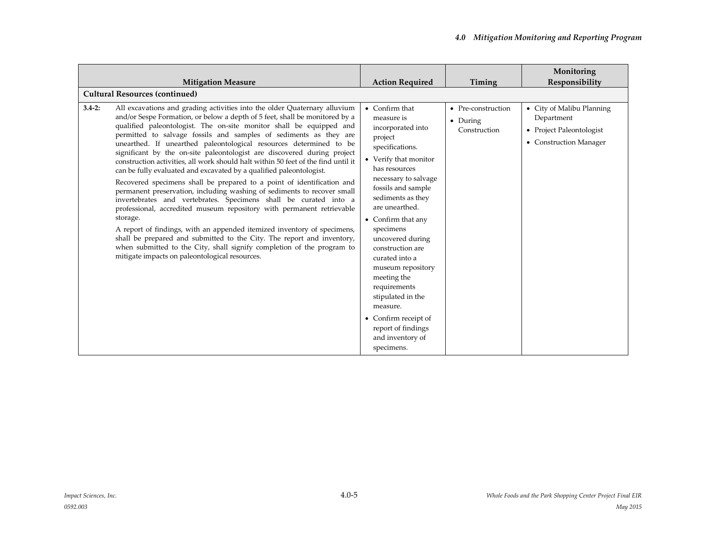|            | <b>Mitigation Measure</b>                                                                                                                                                                                                                                                                                                                                                                                                                                                                                                                                                                                                                                                                                                                                                                                                                                                                                                                                                                                                                                                                                                                                                                                        | <b>Action Required</b>                                                                                                                                                                                                                                                                                                                                                                                                                                                                   | Timing                                         | Monitoring<br>Responsibility                                                                  |
|------------|------------------------------------------------------------------------------------------------------------------------------------------------------------------------------------------------------------------------------------------------------------------------------------------------------------------------------------------------------------------------------------------------------------------------------------------------------------------------------------------------------------------------------------------------------------------------------------------------------------------------------------------------------------------------------------------------------------------------------------------------------------------------------------------------------------------------------------------------------------------------------------------------------------------------------------------------------------------------------------------------------------------------------------------------------------------------------------------------------------------------------------------------------------------------------------------------------------------|------------------------------------------------------------------------------------------------------------------------------------------------------------------------------------------------------------------------------------------------------------------------------------------------------------------------------------------------------------------------------------------------------------------------------------------------------------------------------------------|------------------------------------------------|-----------------------------------------------------------------------------------------------|
|            | <b>Cultural Resources (continued)</b>                                                                                                                                                                                                                                                                                                                                                                                                                                                                                                                                                                                                                                                                                                                                                                                                                                                                                                                                                                                                                                                                                                                                                                            |                                                                                                                                                                                                                                                                                                                                                                                                                                                                                          |                                                |                                                                                               |
| $3.4 - 2:$ | All excavations and grading activities into the older Quaternary alluvium<br>and/or Sespe Formation, or below a depth of 5 feet, shall be monitored by a<br>qualified paleontologist. The on-site monitor shall be equipped and<br>permitted to salvage fossils and samples of sediments as they are<br>unearthed. If unearthed paleontological resources determined to be<br>significant by the on-site paleontologist are discovered during project<br>construction activities, all work should halt within 50 feet of the find until it<br>can be fully evaluated and excavated by a qualified paleontologist.<br>Recovered specimens shall be prepared to a point of identification and<br>permanent preservation, including washing of sediments to recover small<br>invertebrates and vertebrates. Specimens shall be curated into a<br>professional, accredited museum repository with permanent retrievable<br>storage.<br>A report of findings, with an appended itemized inventory of specimens,<br>shall be prepared and submitted to the City. The report and inventory,<br>when submitted to the City, shall signify completion of the program to<br>mitigate impacts on paleontological resources. | $\bullet$ Confirm that<br>measure is<br>incorporated into<br>project<br>specifications.<br>• Verify that monitor<br>has resources<br>necessary to salvage<br>fossils and sample<br>sediments as they<br>are unearthed.<br>• Confirm that any<br>specimens<br>uncovered during<br>construction are<br>curated into a<br>museum repository<br>meeting the<br>requirements<br>stipulated in the<br>measure.<br>• Confirm receipt of<br>report of findings<br>and inventory of<br>specimens. | • Pre-construction<br>• During<br>Construction | • City of Malibu Planning<br>Department<br>• Project Paleontologist<br>• Construction Manager |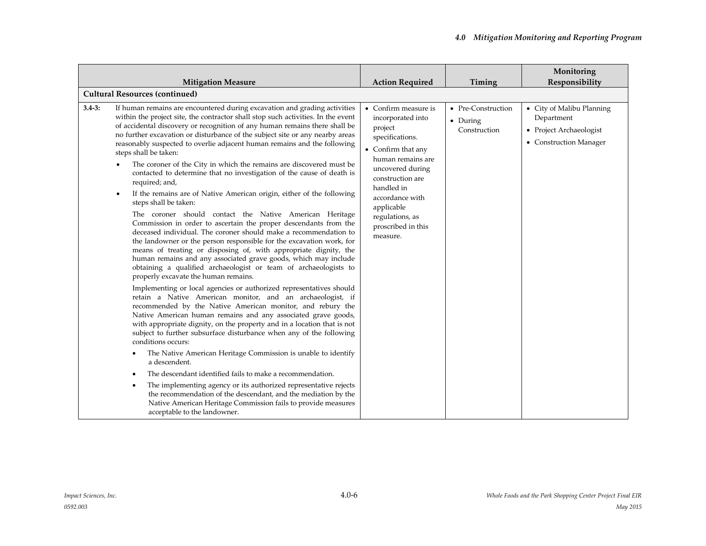|            | <b>Mitigation Measure</b>                                                                                                                                                                                                                                                                                                                                                                                                                                                                                                                                                                                                                                                                                                                                                                                                                                                                                                                                                                                                                                                                                                                                                                                                                                                                                                                                                                                                                                                                                                                                                                                                                                             | <b>Action Required</b>                                                                                                                                                                                                                                         | Timing                                         | Monitoring<br>Responsibility                                                                 |  |
|------------|-----------------------------------------------------------------------------------------------------------------------------------------------------------------------------------------------------------------------------------------------------------------------------------------------------------------------------------------------------------------------------------------------------------------------------------------------------------------------------------------------------------------------------------------------------------------------------------------------------------------------------------------------------------------------------------------------------------------------------------------------------------------------------------------------------------------------------------------------------------------------------------------------------------------------------------------------------------------------------------------------------------------------------------------------------------------------------------------------------------------------------------------------------------------------------------------------------------------------------------------------------------------------------------------------------------------------------------------------------------------------------------------------------------------------------------------------------------------------------------------------------------------------------------------------------------------------------------------------------------------------------------------------------------------------|----------------------------------------------------------------------------------------------------------------------------------------------------------------------------------------------------------------------------------------------------------------|------------------------------------------------|----------------------------------------------------------------------------------------------|--|
|            | <b>Cultural Resources (continued)</b>                                                                                                                                                                                                                                                                                                                                                                                                                                                                                                                                                                                                                                                                                                                                                                                                                                                                                                                                                                                                                                                                                                                                                                                                                                                                                                                                                                                                                                                                                                                                                                                                                                 |                                                                                                                                                                                                                                                                |                                                |                                                                                              |  |
| $3.4 - 3:$ | If human remains are encountered during excavation and grading activities<br>within the project site, the contractor shall stop such activities. In the event<br>of accidental discovery or recognition of any human remains there shall be<br>no further excavation or disturbance of the subject site or any nearby areas<br>reasonably suspected to overlie adjacent human remains and the following<br>steps shall be taken:<br>The coroner of the City in which the remains are discovered must be<br>contacted to determine that no investigation of the cause of death is<br>required; and,<br>If the remains are of Native American origin, either of the following<br>$\bullet$<br>steps shall be taken:<br>The coroner should contact the Native American Heritage<br>Commission in order to ascertain the proper descendants from the<br>deceased individual. The coroner should make a recommendation to<br>the landowner or the person responsible for the excavation work, for<br>means of treating or disposing of, with appropriate dignity, the<br>human remains and any associated grave goods, which may include<br>obtaining a qualified archaeologist or team of archaeologists to<br>properly excavate the human remains.<br>Implementing or local agencies or authorized representatives should<br>retain a Native American monitor, and an archaeologist, if<br>recommended by the Native American monitor, and rebury the<br>Native American human remains and any associated grave goods,<br>with appropriate dignity, on the property and in a location that is not<br>subject to further subsurface disturbance when any of the following | • Confirm measure is<br>incorporated into<br>project<br>specifications.<br>• Confirm that any<br>human remains are<br>uncovered during<br>construction are<br>handled in<br>accordance with<br>applicable<br>regulations, as<br>proscribed in this<br>measure. | • Pre-Construction<br>• During<br>Construction | • City of Malibu Planning<br>Department<br>• Project Archaeologist<br>• Construction Manager |  |
|            | conditions occurs:<br>The Native American Heritage Commission is unable to identify<br>٠<br>a descendent.                                                                                                                                                                                                                                                                                                                                                                                                                                                                                                                                                                                                                                                                                                                                                                                                                                                                                                                                                                                                                                                                                                                                                                                                                                                                                                                                                                                                                                                                                                                                                             |                                                                                                                                                                                                                                                                |                                                |                                                                                              |  |
|            | The descendant identified fails to make a recommendation.<br>$\bullet$                                                                                                                                                                                                                                                                                                                                                                                                                                                                                                                                                                                                                                                                                                                                                                                                                                                                                                                                                                                                                                                                                                                                                                                                                                                                                                                                                                                                                                                                                                                                                                                                |                                                                                                                                                                                                                                                                |                                                |                                                                                              |  |
|            | The implementing agency or its authorized representative rejects<br>$\bullet$<br>the recommendation of the descendant, and the mediation by the<br>Native American Heritage Commission fails to provide measures<br>acceptable to the landowner.                                                                                                                                                                                                                                                                                                                                                                                                                                                                                                                                                                                                                                                                                                                                                                                                                                                                                                                                                                                                                                                                                                                                                                                                                                                                                                                                                                                                                      |                                                                                                                                                                                                                                                                |                                                |                                                                                              |  |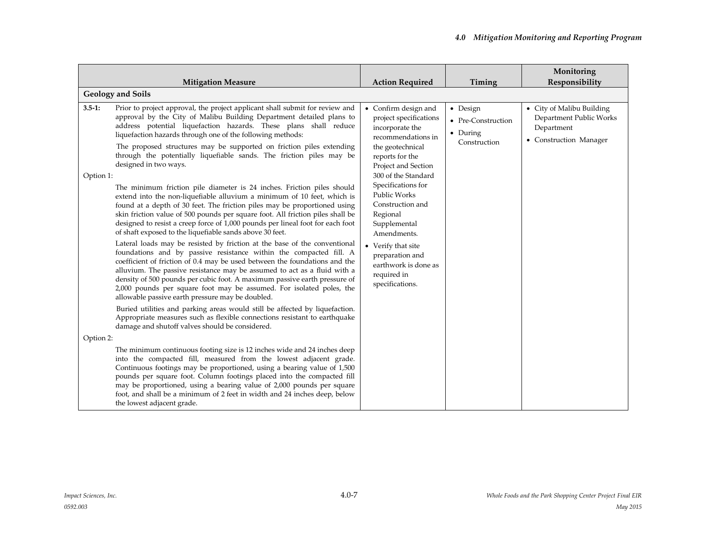|            | <b>Mitigation Measure</b>                                                                                                                                                                                                                                                                                                                                                                                                                                                                                          | <b>Action Required</b>                                                                                                                                | Timing                                                     | Monitoring<br>Responsibility                                                                 |
|------------|--------------------------------------------------------------------------------------------------------------------------------------------------------------------------------------------------------------------------------------------------------------------------------------------------------------------------------------------------------------------------------------------------------------------------------------------------------------------------------------------------------------------|-------------------------------------------------------------------------------------------------------------------------------------------------------|------------------------------------------------------------|----------------------------------------------------------------------------------------------|
|            | <b>Geology and Soils</b>                                                                                                                                                                                                                                                                                                                                                                                                                                                                                           |                                                                                                                                                       |                                                            |                                                                                              |
| $3.5 - 1:$ | Prior to project approval, the project applicant shall submit for review and<br>approval by the City of Malibu Building Department detailed plans to<br>address potential liquefaction hazards. These plans shall reduce<br>liquefaction hazards through one of the following methods:<br>The proposed structures may be supported on friction piles extending<br>through the potentially liquefiable sands. The friction piles may be<br>designed in two ways.                                                    | • Confirm design and<br>project specifications<br>incorporate the<br>recommendations in<br>the geotechnical<br>reports for the<br>Project and Section | • Design<br>• Pre-Construction<br>• During<br>Construction | • City of Malibu Building<br>Department Public Works<br>Department<br>• Construction Manager |
| Option 1:  | The minimum friction pile diameter is 24 inches. Friction piles should<br>extend into the non-liquefiable alluvium a minimum of 10 feet, which is<br>found at a depth of 30 feet. The friction piles may be proportioned using<br>skin friction value of 500 pounds per square foot. All friction piles shall be<br>designed to resist a creep force of 1,000 pounds per lineal foot for each foot<br>of shaft exposed to the liquefiable sands above 30 feet.                                                     | 300 of the Standard<br>Specifications for<br>Public Works<br>Construction and<br>Regional<br>Supplemental<br>Amendments.                              |                                                            |                                                                                              |
|            | Lateral loads may be resisted by friction at the base of the conventional<br>foundations and by passive resistance within the compacted fill. A<br>coefficient of friction of 0.4 may be used between the foundations and the<br>alluvium. The passive resistance may be assumed to act as a fluid with a<br>density of 500 pounds per cubic foot. A maximum passive earth pressure of<br>2,000 pounds per square foot may be assumed. For isolated poles, the<br>allowable passive earth pressure may be doubled. | • Verify that site<br>preparation and<br>earthwork is done as<br>required in<br>specifications.                                                       |                                                            |                                                                                              |
|            | Buried utilities and parking areas would still be affected by liquefaction.<br>Appropriate measures such as flexible connections resistant to earthquake<br>damage and shutoff valves should be considered.                                                                                                                                                                                                                                                                                                        |                                                                                                                                                       |                                                            |                                                                                              |
| Option 2:  |                                                                                                                                                                                                                                                                                                                                                                                                                                                                                                                    |                                                                                                                                                       |                                                            |                                                                                              |
|            | The minimum continuous footing size is 12 inches wide and 24 inches deep<br>into the compacted fill, measured from the lowest adjacent grade.<br>Continuous footings may be proportioned, using a bearing value of 1,500<br>pounds per square foot. Column footings placed into the compacted fill<br>may be proportioned, using a bearing value of 2,000 pounds per square<br>foot, and shall be a minimum of 2 feet in width and 24 inches deep, below<br>the lowest adjacent grade.                             |                                                                                                                                                       |                                                            |                                                                                              |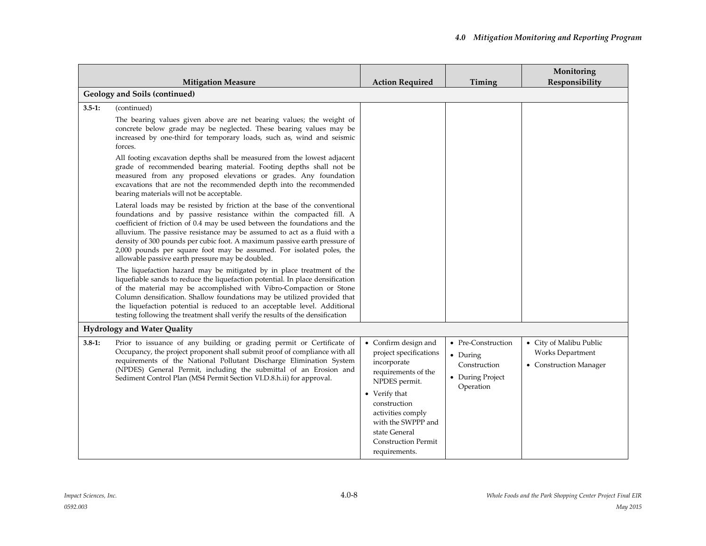|            |                                                                                                                                                                                                                                                                                                                                                                                                                                                                                                                                                                                                                                                                                                                                                                                                                                                                                                                                                                                                                                                                                                                                                                                                                                                                                                                                                                                                                                                                                                      |                                                                                                                                                                                                                                                   |                                                                                 | Monitoring                                                            |
|------------|------------------------------------------------------------------------------------------------------------------------------------------------------------------------------------------------------------------------------------------------------------------------------------------------------------------------------------------------------------------------------------------------------------------------------------------------------------------------------------------------------------------------------------------------------------------------------------------------------------------------------------------------------------------------------------------------------------------------------------------------------------------------------------------------------------------------------------------------------------------------------------------------------------------------------------------------------------------------------------------------------------------------------------------------------------------------------------------------------------------------------------------------------------------------------------------------------------------------------------------------------------------------------------------------------------------------------------------------------------------------------------------------------------------------------------------------------------------------------------------------------|---------------------------------------------------------------------------------------------------------------------------------------------------------------------------------------------------------------------------------------------------|---------------------------------------------------------------------------------|-----------------------------------------------------------------------|
|            | <b>Mitigation Measure</b>                                                                                                                                                                                                                                                                                                                                                                                                                                                                                                                                                                                                                                                                                                                                                                                                                                                                                                                                                                                                                                                                                                                                                                                                                                                                                                                                                                                                                                                                            | <b>Action Required</b>                                                                                                                                                                                                                            | Timing                                                                          | Responsibility                                                        |
|            | Geology and Soils (continued)                                                                                                                                                                                                                                                                                                                                                                                                                                                                                                                                                                                                                                                                                                                                                                                                                                                                                                                                                                                                                                                                                                                                                                                                                                                                                                                                                                                                                                                                        |                                                                                                                                                                                                                                                   |                                                                                 |                                                                       |
| $3.5 - 1:$ | (continued)<br>The bearing values given above are net bearing values; the weight of<br>concrete below grade may be neglected. These bearing values may be<br>increased by one-third for temporary loads, such as, wind and seismic<br>forces.<br>All footing excavation depths shall be measured from the lowest adjacent<br>grade of recommended bearing material. Footing depths shall not be<br>measured from any proposed elevations or grades. Any foundation<br>excavations that are not the recommended depth into the recommended<br>bearing materials will not be acceptable.<br>Lateral loads may be resisted by friction at the base of the conventional<br>foundations and by passive resistance within the compacted fill. A<br>coefficient of friction of 0.4 may be used between the foundations and the<br>alluvium. The passive resistance may be assumed to act as a fluid with a<br>density of 300 pounds per cubic foot. A maximum passive earth pressure of<br>2,000 pounds per square foot may be assumed. For isolated poles, the<br>allowable passive earth pressure may be doubled.<br>The liquefaction hazard may be mitigated by in place treatment of the<br>liquefiable sands to reduce the liquefaction potential. In place densification<br>of the material may be accomplished with Vibro-Compaction or Stone<br>Column densification. Shallow foundations may be utilized provided that<br>the liquefaction potential is reduced to an acceptable level. Additional |                                                                                                                                                                                                                                                   |                                                                                 |                                                                       |
|            | testing following the treatment shall verify the results of the densification                                                                                                                                                                                                                                                                                                                                                                                                                                                                                                                                                                                                                                                                                                                                                                                                                                                                                                                                                                                                                                                                                                                                                                                                                                                                                                                                                                                                                        |                                                                                                                                                                                                                                                   |                                                                                 |                                                                       |
| $3.8-1:$   | <b>Hydrology and Water Quality</b><br>Prior to issuance of any building or grading permit or Certificate of<br>Occupancy, the project proponent shall submit proof of compliance with all<br>requirements of the National Pollutant Discharge Elimination System<br>(NPDES) General Permit, including the submittal of an Erosion and<br>Sediment Control Plan (MS4 Permit Section VI.D.8.h.ii) for approval.                                                                                                                                                                                                                                                                                                                                                                                                                                                                                                                                                                                                                                                                                                                                                                                                                                                                                                                                                                                                                                                                                        | • Confirm design and<br>project specifications<br>incorporate<br>requirements of the<br>NPDES permit.<br>• Verify that<br>construction<br>activities comply<br>with the SWPPP and<br>state General<br><b>Construction Permit</b><br>requirements. | • Pre-Construction<br>• During<br>Construction<br>• During Project<br>Operation | • City of Malibu Public<br>Works Department<br>• Construction Manager |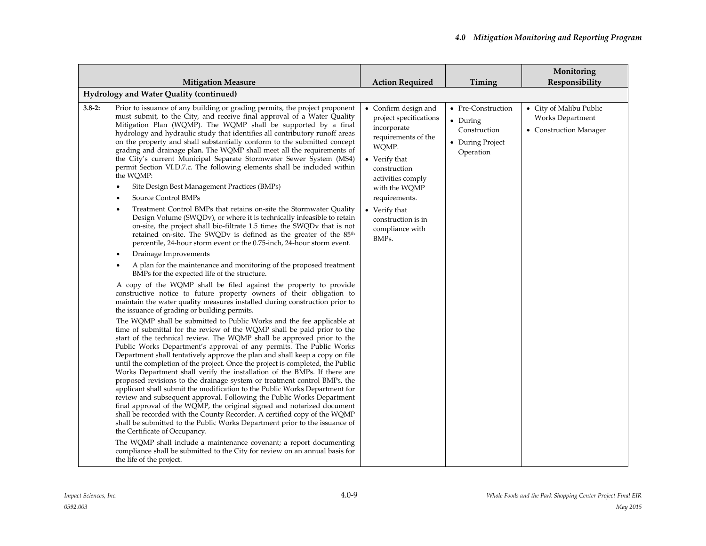| <b>Mitigation Measure</b>                                                                                                                                                                                                                                                                                                                                                                                                                                                                                                                                                                                                                                                                                                                                                                                                                                                                                                                                                                                                                                                                                                                                                                                                                                                                                                                                                                                                                                                                                                                                                                                                                                                                                                                                                                                                                                                                                                                                                                                                                                                                                                                                                                                                                                                                                                                                                                                                                                                                                                                                                                                                                                                                                                                           | <b>Action Required</b>                                                                                                                                                                                                                                   | Timing                                                                          | Monitoring<br>Responsibility                                          |
|-----------------------------------------------------------------------------------------------------------------------------------------------------------------------------------------------------------------------------------------------------------------------------------------------------------------------------------------------------------------------------------------------------------------------------------------------------------------------------------------------------------------------------------------------------------------------------------------------------------------------------------------------------------------------------------------------------------------------------------------------------------------------------------------------------------------------------------------------------------------------------------------------------------------------------------------------------------------------------------------------------------------------------------------------------------------------------------------------------------------------------------------------------------------------------------------------------------------------------------------------------------------------------------------------------------------------------------------------------------------------------------------------------------------------------------------------------------------------------------------------------------------------------------------------------------------------------------------------------------------------------------------------------------------------------------------------------------------------------------------------------------------------------------------------------------------------------------------------------------------------------------------------------------------------------------------------------------------------------------------------------------------------------------------------------------------------------------------------------------------------------------------------------------------------------------------------------------------------------------------------------------------------------------------------------------------------------------------------------------------------------------------------------------------------------------------------------------------------------------------------------------------------------------------------------------------------------------------------------------------------------------------------------------------------------------------------------------------------------------------------------|----------------------------------------------------------------------------------------------------------------------------------------------------------------------------------------------------------------------------------------------------------|---------------------------------------------------------------------------------|-----------------------------------------------------------------------|
| Hydrology and Water Quality (continued)                                                                                                                                                                                                                                                                                                                                                                                                                                                                                                                                                                                                                                                                                                                                                                                                                                                                                                                                                                                                                                                                                                                                                                                                                                                                                                                                                                                                                                                                                                                                                                                                                                                                                                                                                                                                                                                                                                                                                                                                                                                                                                                                                                                                                                                                                                                                                                                                                                                                                                                                                                                                                                                                                                             |                                                                                                                                                                                                                                                          |                                                                                 |                                                                       |
|                                                                                                                                                                                                                                                                                                                                                                                                                                                                                                                                                                                                                                                                                                                                                                                                                                                                                                                                                                                                                                                                                                                                                                                                                                                                                                                                                                                                                                                                                                                                                                                                                                                                                                                                                                                                                                                                                                                                                                                                                                                                                                                                                                                                                                                                                                                                                                                                                                                                                                                                                                                                                                                                                                                                                     |                                                                                                                                                                                                                                                          |                                                                                 |                                                                       |
| Prior to issuance of any building or grading permits, the project proponent<br>$3.8 - 2:$<br>must submit, to the City, and receive final approval of a Water Quality<br>Mitigation Plan (WQMP). The WQMP shall be supported by a final<br>hydrology and hydraulic study that identifies all contributory runoff areas<br>on the property and shall substantially conform to the submitted concept<br>grading and drainage plan. The WQMP shall meet all the requirements of<br>the City's current Municipal Separate Stormwater Sewer System (MS4)<br>permit Section VI.D.7.c. The following elements shall be included within<br>the WQMP:<br>Site Design Best Management Practices (BMPs)<br>Source Control BMPs<br>Treatment Control BMPs that retains on-site the Stormwater Quality<br>Design Volume (SWQDv), or where it is technically infeasible to retain<br>on-site, the project shall bio-filtrate 1.5 times the SWQDv that is not<br>retained on-site. The SWQDv is defined as the greater of the 85 <sup>th</sup><br>percentile, 24-hour storm event or the 0.75-inch, 24-hour storm event.<br>Drainage Improvements<br>A plan for the maintenance and monitoring of the proposed treatment<br>BMPs for the expected life of the structure.<br>A copy of the WQMP shall be filed against the property to provide<br>constructive notice to future property owners of their obligation to<br>maintain the water quality measures installed during construction prior to<br>the issuance of grading or building permits.<br>The WQMP shall be submitted to Public Works and the fee applicable at<br>time of submittal for the review of the WQMP shall be paid prior to the<br>start of the technical review. The WQMP shall be approved prior to the<br>Public Works Department's approval of any permits. The Public Works<br>Department shall tentatively approve the plan and shall keep a copy on file<br>until the completion of the project. Once the project is completed, the Public<br>Works Department shall verify the installation of the BMPs. If there are<br>proposed revisions to the drainage system or treatment control BMPs, the<br>applicant shall submit the modification to the Public Works Department for<br>review and subsequent approval. Following the Public Works Department<br>final approval of the WQMP, the original signed and notarized document<br>shall be recorded with the County Recorder. A certified copy of the WQMP<br>shall be submitted to the Public Works Department prior to the issuance of<br>the Certificate of Occupancy.<br>The WQMP shall include a maintenance covenant; a report documenting<br>compliance shall be submitted to the City for review on an annual basis for | • Confirm design and<br>project specifications<br>incorporate<br>requirements of the<br>WQMP.<br>• Verify that<br>construction<br>activities comply<br>with the WQMP<br>requirements.<br>• Verify that<br>construction is in<br>compliance with<br>BMPs. | • Pre-Construction<br>• During<br>Construction<br>• During Project<br>Operation | • City of Malibu Public<br>Works Department<br>• Construction Manager |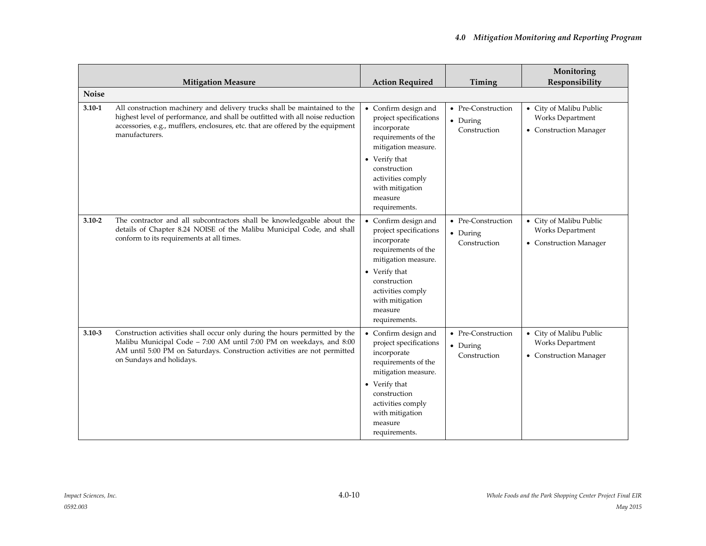|              | <b>Mitigation Measure</b>                                                                                                                                                                                                                                       | <b>Action Required</b>                                                                                                                                                                                           | Timing                                         | Monitoring<br>Responsibility                                          |
|--------------|-----------------------------------------------------------------------------------------------------------------------------------------------------------------------------------------------------------------------------------------------------------------|------------------------------------------------------------------------------------------------------------------------------------------------------------------------------------------------------------------|------------------------------------------------|-----------------------------------------------------------------------|
| <b>Noise</b> |                                                                                                                                                                                                                                                                 |                                                                                                                                                                                                                  |                                                |                                                                       |
| $3.10 - 1$   | All construction machinery and delivery trucks shall be maintained to the<br>highest level of performance, and shall be outfitted with all noise reduction<br>accessories, e.g., mufflers, enclosures, etc. that are offered by the equipment<br>manufacturers. | • Confirm design and<br>project specifications<br>incorporate<br>requirements of the<br>mitigation measure.<br>• Verify that<br>construction                                                                     | • Pre-Construction<br>• During<br>Construction | • City of Malibu Public<br>Works Department<br>• Construction Manager |
|              |                                                                                                                                                                                                                                                                 | activities comply<br>with mitigation<br>measure<br>requirements.                                                                                                                                                 |                                                |                                                                       |
| $3.10 - 2$   | The contractor and all subcontractors shall be knowledgeable about the<br>details of Chapter 8.24 NOISE of the Malibu Municipal Code, and shall<br>conform to its requirements at all times.                                                                    | • Confirm design and<br>project specifications<br>incorporate<br>requirements of the<br>mitigation measure.<br>• Verify that<br>construction<br>activities comply<br>with mitigation<br>measure<br>requirements. | • Pre-Construction<br>• During<br>Construction | • City of Malibu Public<br>Works Department<br>• Construction Manager |
| $3.10 - 3$   | Construction activities shall occur only during the hours permitted by the<br>Malibu Municipal Code - 7:00 AM until 7:00 PM on weekdays, and 8:00<br>AM until 5:00 PM on Saturdays. Construction activities are not permitted<br>on Sundays and holidays.       | • Confirm design and<br>project specifications<br>incorporate<br>requirements of the<br>mitigation measure.<br>• Verify that<br>construction<br>activities comply<br>with mitigation<br>measure<br>requirements. | • Pre-Construction<br>• During<br>Construction | • City of Malibu Public<br>Works Department<br>• Construction Manager |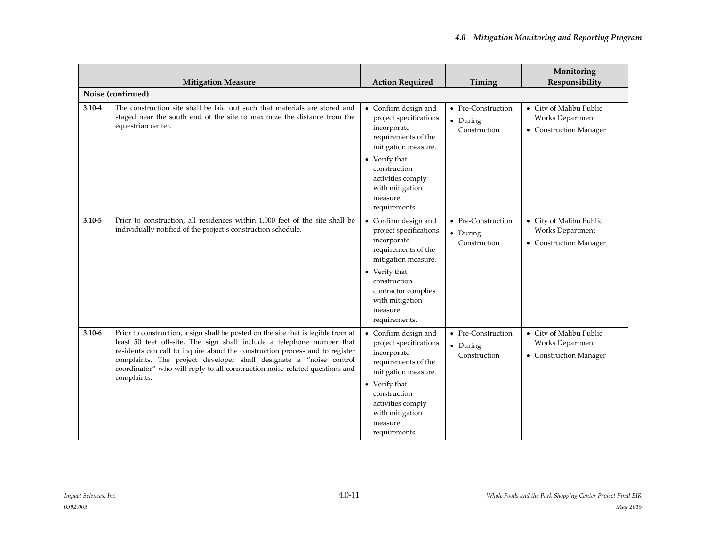|            | <b>Mitigation Measure</b>                                                                                                                                                                                                                                                                                                                                                                                       | <b>Action Required</b>                                                                                                                                                                                             | Timing                                         | Monitoring<br>Responsibility                                          |
|------------|-----------------------------------------------------------------------------------------------------------------------------------------------------------------------------------------------------------------------------------------------------------------------------------------------------------------------------------------------------------------------------------------------------------------|--------------------------------------------------------------------------------------------------------------------------------------------------------------------------------------------------------------------|------------------------------------------------|-----------------------------------------------------------------------|
|            | Noise (continued)                                                                                                                                                                                                                                                                                                                                                                                               |                                                                                                                                                                                                                    |                                                |                                                                       |
| $3.10 - 4$ | The construction site shall be laid out such that materials are stored and<br>staged near the south end of the site to maximize the distance from the<br>equestrian center.                                                                                                                                                                                                                                     | • Confirm design and<br>project specifications<br>incorporate<br>requirements of the<br>mitigation measure.<br>• Verify that                                                                                       | • Pre-Construction<br>• During<br>Construction | • City of Malibu Public<br>Works Department<br>• Construction Manager |
|            |                                                                                                                                                                                                                                                                                                                                                                                                                 | construction<br>activities comply<br>with mitigation<br>measure<br>requirements.                                                                                                                                   |                                                |                                                                       |
| $3.10 - 5$ | Prior to construction, all residences within 1,000 feet of the site shall be<br>individually notified of the project's construction schedule.                                                                                                                                                                                                                                                                   | • Confirm design and<br>project specifications<br>incorporate<br>requirements of the<br>mitigation measure.<br>• Verify that<br>construction<br>contractor complies<br>with mitigation<br>measure<br>requirements. | • Pre-Construction<br>• During<br>Construction | • City of Malibu Public<br>Works Department<br>• Construction Manager |
| $3.10 - 6$ | Prior to construction, a sign shall be posted on the site that is legible from at<br>least 50 feet off-site. The sign shall include a telephone number that<br>residents can call to inquire about the construction process and to register<br>complaints. The project developer shall designate a "noise control<br>coordinator" who will reply to all construction noise-related questions and<br>complaints. | • Confirm design and<br>project specifications<br>incorporate<br>requirements of the<br>mitigation measure.<br>• Verify that<br>construction<br>activities comply<br>with mitigation<br>measure<br>requirements.   | • Pre-Construction<br>• During<br>Construction | • City of Malibu Public<br>Works Department<br>• Construction Manager |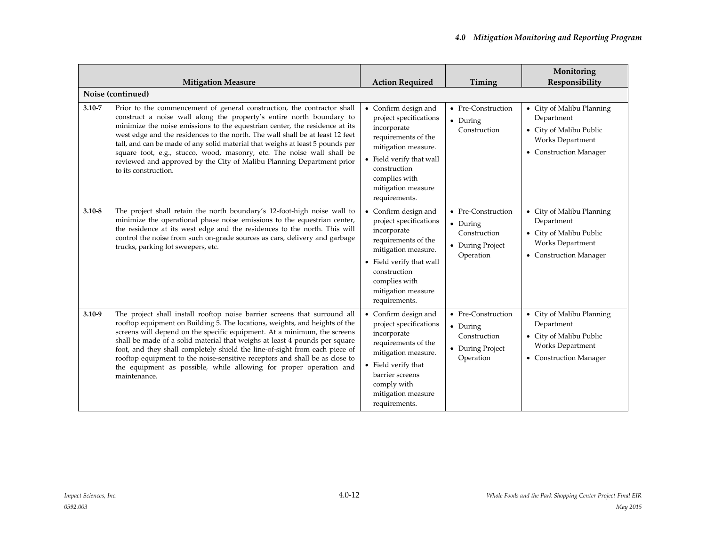|            | <b>Mitigation Measure</b>                                                                                                                                                                                                                                                                                                                                                                                                                                                                                                                                                   | <b>Action Required</b>                                                                                                                                                                                          | Timing                                                                          | Monitoring<br>Responsibility                                                                                            |
|------------|-----------------------------------------------------------------------------------------------------------------------------------------------------------------------------------------------------------------------------------------------------------------------------------------------------------------------------------------------------------------------------------------------------------------------------------------------------------------------------------------------------------------------------------------------------------------------------|-----------------------------------------------------------------------------------------------------------------------------------------------------------------------------------------------------------------|---------------------------------------------------------------------------------|-------------------------------------------------------------------------------------------------------------------------|
|            | Noise (continued)                                                                                                                                                                                                                                                                                                                                                                                                                                                                                                                                                           |                                                                                                                                                                                                                 |                                                                                 |                                                                                                                         |
| $3.10 - 7$ | Prior to the commencement of general construction, the contractor shall<br>construct a noise wall along the property's entire north boundary to<br>minimize the noise emissions to the equestrian center, the residence at its<br>west edge and the residences to the north. The wall shall be at least 12 feet<br>tall, and can be made of any solid material that weighs at least 5 pounds per<br>square foot, e.g., stucco, wood, masonry, etc. The noise wall shall be<br>reviewed and approved by the City of Malibu Planning Department prior<br>to its construction. | • Confirm design and<br>project specifications<br>incorporate<br>requirements of the<br>mitigation measure.<br>• Field verify that wall<br>construction<br>complies with<br>mitigation measure<br>requirements. | • Pre-Construction<br>• During<br>Construction                                  | • City of Malibu Planning<br>Department<br>• City of Malibu Public<br><b>Works Department</b><br>• Construction Manager |
| $3.10 - 8$ | The project shall retain the north boundary's 12-foot-high noise wall to<br>minimize the operational phase noise emissions to the equestrian center,<br>the residence at its west edge and the residences to the north. This will<br>control the noise from such on-grade sources as cars, delivery and garbage<br>trucks, parking lot sweepers, etc.                                                                                                                                                                                                                       | • Confirm design and<br>project specifications<br>incorporate<br>requirements of the<br>mitigation measure.<br>• Field verify that wall<br>construction<br>complies with<br>mitigation measure<br>requirements. | • Pre-Construction<br>• During<br>Construction<br>• During Project<br>Operation | • City of Malibu Planning<br>Department<br>• City of Malibu Public<br><b>Works Department</b><br>• Construction Manager |
| $3.10 - 9$ | The project shall install rooftop noise barrier screens that surround all<br>rooftop equipment on Building 5. The locations, weights, and heights of the<br>screens will depend on the specific equipment. At a minimum, the screens<br>shall be made of a solid material that weighs at least 4 pounds per square<br>foot, and they shall completely shield the line-of-sight from each piece of<br>rooftop equipment to the noise-sensitive receptors and shall be as close to<br>the equipment as possible, while allowing for proper operation and<br>maintenance.      | • Confirm design and<br>project specifications<br>incorporate<br>requirements of the<br>mitigation measure.<br>• Field verify that<br>barrier screens<br>comply with<br>mitigation measure<br>requirements.     | • Pre-Construction<br>• During<br>Construction<br>• During Project<br>Operation | • City of Malibu Planning<br>Department<br>• City of Malibu Public<br><b>Works Department</b><br>• Construction Manager |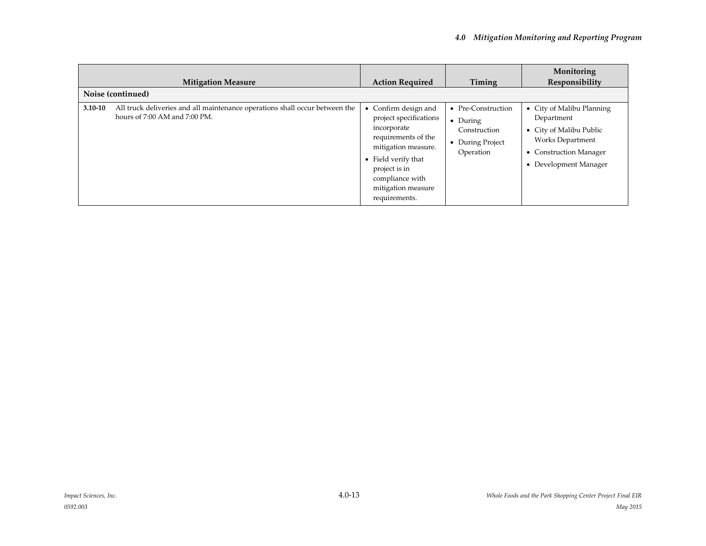|             | <b>Mitigation Measure</b>                                                                                    | <b>Action Required</b>                                                                                                                                                                                      | Timing                                                                                  | Monitoring<br>Responsibility                                                                                                                                       |
|-------------|--------------------------------------------------------------------------------------------------------------|-------------------------------------------------------------------------------------------------------------------------------------------------------------------------------------------------------------|-----------------------------------------------------------------------------------------|--------------------------------------------------------------------------------------------------------------------------------------------------------------------|
|             | Noise (continued)                                                                                            |                                                                                                                                                                                                             |                                                                                         |                                                                                                                                                                    |
| $3.10 - 10$ | All truck deliveries and all maintenance operations shall occur between the<br>hours of 7:00 AM and 7:00 PM. | Confirm design and<br>project specifications<br>incorporate<br>requirements of the<br>mitigation measure.<br>• Field verify that<br>project is in<br>compliance with<br>mitigation measure<br>requirements. | • Pre-Construction<br>$\bullet$ During<br>Construction<br>• During Project<br>Operation | • City of Malibu Planning<br>Department<br>• City of Malibu Public<br><b>Works Department</b><br><b>Construction Manager</b><br>$\bullet$<br>• Development Manager |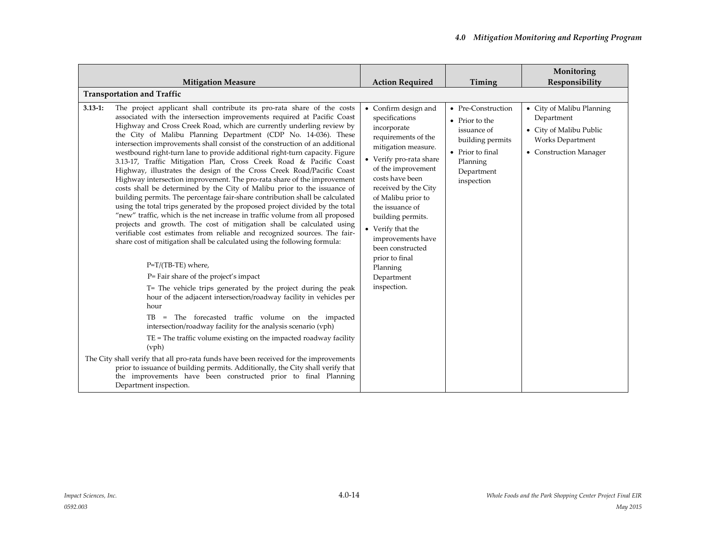|             | <b>Mitigation Measure</b>                                                                                                                                                                                                                                                                                                                                                                                                                                                                                                                                                                                                                                                                                                                                                                                                                                                                                                                                                                                                                                                                                                                                                                                                                                                                                                                                                                                                                                                                                                                                                                                                                                                                                                                                                                                                                                                                                                                         | <b>Action Required</b>                                                                                                                                                                                                                                                                                                                                                                 | Timing                                                                                                                              | Monitoring<br>Responsibility                                                                                            |  |
|-------------|---------------------------------------------------------------------------------------------------------------------------------------------------------------------------------------------------------------------------------------------------------------------------------------------------------------------------------------------------------------------------------------------------------------------------------------------------------------------------------------------------------------------------------------------------------------------------------------------------------------------------------------------------------------------------------------------------------------------------------------------------------------------------------------------------------------------------------------------------------------------------------------------------------------------------------------------------------------------------------------------------------------------------------------------------------------------------------------------------------------------------------------------------------------------------------------------------------------------------------------------------------------------------------------------------------------------------------------------------------------------------------------------------------------------------------------------------------------------------------------------------------------------------------------------------------------------------------------------------------------------------------------------------------------------------------------------------------------------------------------------------------------------------------------------------------------------------------------------------------------------------------------------------------------------------------------------------|----------------------------------------------------------------------------------------------------------------------------------------------------------------------------------------------------------------------------------------------------------------------------------------------------------------------------------------------------------------------------------------|-------------------------------------------------------------------------------------------------------------------------------------|-------------------------------------------------------------------------------------------------------------------------|--|
|             | <b>Transportation and Traffic</b>                                                                                                                                                                                                                                                                                                                                                                                                                                                                                                                                                                                                                                                                                                                                                                                                                                                                                                                                                                                                                                                                                                                                                                                                                                                                                                                                                                                                                                                                                                                                                                                                                                                                                                                                                                                                                                                                                                                 |                                                                                                                                                                                                                                                                                                                                                                                        |                                                                                                                                     |                                                                                                                         |  |
| $3.13 - 1:$ | The project applicant shall contribute its pro-rata share of the costs<br>associated with the intersection improvements required at Pacific Coast<br>Highway and Cross Creek Road, which are currently underling review by<br>the City of Malibu Planning Department (CDP No. 14-036). These<br>intersection improvements shall consist of the construction of an additional<br>westbound right-turn lane to provide additional right-turn capacity. Figure<br>3.13-17, Traffic Mitigation Plan, Cross Creek Road & Pacific Coast<br>Highway, illustrates the design of the Cross Creek Road/Pacific Coast<br>Highway intersection improvement. The pro-rata share of the improvement<br>costs shall be determined by the City of Malibu prior to the issuance of<br>building permits. The percentage fair-share contribution shall be calculated<br>using the total trips generated by the proposed project divided by the total<br>"new" traffic, which is the net increase in traffic volume from all proposed<br>projects and growth. The cost of mitigation shall be calculated using<br>verifiable cost estimates from reliable and recognized sources. The fair-<br>share cost of mitigation shall be calculated using the following formula:<br>P=T/(TB-TE) where,<br>P= Fair share of the project's impact<br>T= The vehicle trips generated by the project during the peak<br>hour of the adjacent intersection/roadway facility in vehicles per<br>hour<br>TB = The forecasted traffic volume on the impacted<br>intersection/roadway facility for the analysis scenario (vph)<br>$TE = The traffic volume existing on the impacted roadway facility$<br>(vph)<br>The City shall verify that all pro-rata funds have been received for the improvements<br>prior to issuance of building permits. Additionally, the City shall verify that<br>the improvements have been constructed prior to final Planning<br>Department inspection. | • Confirm design and<br>specifications<br>incorporate<br>requirements of the<br>mitigation measure.<br>• Verify pro-rata share<br>of the improvement<br>costs have been<br>received by the City<br>of Malibu prior to<br>the issuance of<br>building permits.<br>• Verify that the<br>improvements have<br>been constructed<br>prior to final<br>Planning<br>Department<br>inspection. | • Pre-Construction<br>• Prior to the<br>issuance of<br>building permits<br>• Prior to final<br>Planning<br>Department<br>inspection | • City of Malibu Planning<br>Department<br>• City of Malibu Public<br><b>Works Department</b><br>• Construction Manager |  |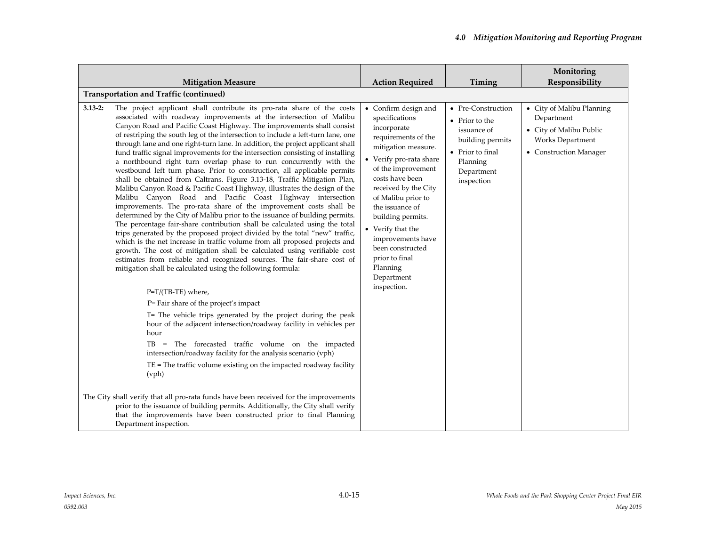|             | <b>Mitigation Measure</b>                                                                                                                                                                                                                                                                                                                                                                                                                                                                                                                                                                                                                                                                                                                                                                                                                                                                                                                                                                                                                                                                                                                                                                                                                                                                                                                                                                                                                                                                                                                                                                                                                                                                                                                                                                                                                                                                                                                                                                 | <b>Action Required</b>                                                                                                                                                                                                                                                                                                                                                                          | Timing                                                                                                                              | Monitoring<br>Responsibility                                                                                     |
|-------------|-------------------------------------------------------------------------------------------------------------------------------------------------------------------------------------------------------------------------------------------------------------------------------------------------------------------------------------------------------------------------------------------------------------------------------------------------------------------------------------------------------------------------------------------------------------------------------------------------------------------------------------------------------------------------------------------------------------------------------------------------------------------------------------------------------------------------------------------------------------------------------------------------------------------------------------------------------------------------------------------------------------------------------------------------------------------------------------------------------------------------------------------------------------------------------------------------------------------------------------------------------------------------------------------------------------------------------------------------------------------------------------------------------------------------------------------------------------------------------------------------------------------------------------------------------------------------------------------------------------------------------------------------------------------------------------------------------------------------------------------------------------------------------------------------------------------------------------------------------------------------------------------------------------------------------------------------------------------------------------------|-------------------------------------------------------------------------------------------------------------------------------------------------------------------------------------------------------------------------------------------------------------------------------------------------------------------------------------------------------------------------------------------------|-------------------------------------------------------------------------------------------------------------------------------------|------------------------------------------------------------------------------------------------------------------|
|             | Transportation and Traffic (continued)                                                                                                                                                                                                                                                                                                                                                                                                                                                                                                                                                                                                                                                                                                                                                                                                                                                                                                                                                                                                                                                                                                                                                                                                                                                                                                                                                                                                                                                                                                                                                                                                                                                                                                                                                                                                                                                                                                                                                    |                                                                                                                                                                                                                                                                                                                                                                                                 |                                                                                                                                     |                                                                                                                  |
| $3.13 - 2:$ | The project applicant shall contribute its pro-rata share of the costs<br>associated with roadway improvements at the intersection of Malibu<br>Canyon Road and Pacific Coast Highway. The improvements shall consist<br>of restriping the south leg of the intersection to include a left-turn lane, one<br>through lane and one right-turn lane. In addition, the project applicant shall<br>fund traffic signal improvements for the intersection consisting of installing<br>a northbound right turn overlap phase to run concurrently with the<br>westbound left turn phase. Prior to construction, all applicable permits<br>shall be obtained from Caltrans. Figure 3.13-18, Traffic Mitigation Plan,<br>Malibu Canyon Road & Pacific Coast Highway, illustrates the design of the<br>Malibu Canyon Road and Pacific Coast Highway intersection<br>improvements. The pro-rata share of the improvement costs shall be<br>determined by the City of Malibu prior to the issuance of building permits.<br>The percentage fair-share contribution shall be calculated using the total<br>trips generated by the proposed project divided by the total "new" traffic,<br>which is the net increase in traffic volume from all proposed projects and<br>growth. The cost of mitigation shall be calculated using verifiable cost<br>estimates from reliable and recognized sources. The fair-share cost of<br>mitigation shall be calculated using the following formula:<br>P=T/(TB-TE) where,<br>P= Fair share of the project's impact<br>T= The vehicle trips generated by the project during the peak<br>hour of the adjacent intersection/roadway facility in vehicles per<br>hour<br>TB = The forecasted traffic volume on the impacted<br>intersection/roadway facility for the analysis scenario (vph)<br>$TE$ = The traffic volume existing on the impacted roadway facility<br>(vph)<br>The City shall verify that all pro-rata funds have been received for the improvements | • Confirm design and<br>specifications<br>incorporate<br>requirements of the<br>mitigation measure.<br>$\bullet~$ Verify pro-rata share<br>of the improvement<br>costs have been<br>received by the City<br>of Malibu prior to<br>the issuance of<br>building permits.<br>• Verify that the<br>improvements have<br>been constructed<br>prior to final<br>Planning<br>Department<br>inspection. | • Pre-Construction<br>• Prior to the<br>issuance of<br>building permits<br>• Prior to final<br>Planning<br>Department<br>inspection | • City of Malibu Planning<br>Department<br>• City of Malibu Public<br>Works Department<br>• Construction Manager |
|             | prior to the issuance of building permits. Additionally, the City shall verify<br>that the improvements have been constructed prior to final Planning<br>Department inspection.                                                                                                                                                                                                                                                                                                                                                                                                                                                                                                                                                                                                                                                                                                                                                                                                                                                                                                                                                                                                                                                                                                                                                                                                                                                                                                                                                                                                                                                                                                                                                                                                                                                                                                                                                                                                           |                                                                                                                                                                                                                                                                                                                                                                                                 |                                                                                                                                     |                                                                                                                  |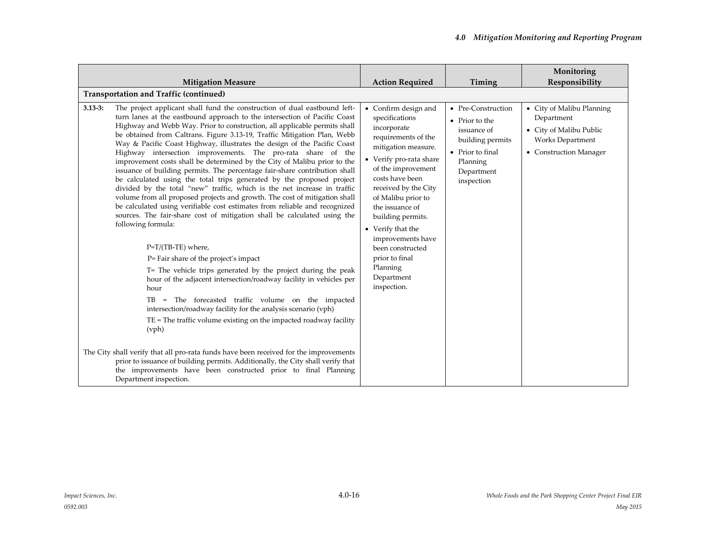|             | <b>Mitigation Measure</b>                                                                                                                                                                                                                                                                                                                                                                                                                                                                                                                                                                                                                                                                                                                                                                                                                                                                                                                                                                                                                                                                                                                                                                                                                                                                                                                                                                                                                                                                                                                                                                                                                                                                                                             | <b>Action Required</b>                                                                                                                                                                                                                                                                                                                                                                 | Timing                                                                                                                              | Monitoring<br>Responsibility                                                                                     |  |
|-------------|---------------------------------------------------------------------------------------------------------------------------------------------------------------------------------------------------------------------------------------------------------------------------------------------------------------------------------------------------------------------------------------------------------------------------------------------------------------------------------------------------------------------------------------------------------------------------------------------------------------------------------------------------------------------------------------------------------------------------------------------------------------------------------------------------------------------------------------------------------------------------------------------------------------------------------------------------------------------------------------------------------------------------------------------------------------------------------------------------------------------------------------------------------------------------------------------------------------------------------------------------------------------------------------------------------------------------------------------------------------------------------------------------------------------------------------------------------------------------------------------------------------------------------------------------------------------------------------------------------------------------------------------------------------------------------------------------------------------------------------|----------------------------------------------------------------------------------------------------------------------------------------------------------------------------------------------------------------------------------------------------------------------------------------------------------------------------------------------------------------------------------------|-------------------------------------------------------------------------------------------------------------------------------------|------------------------------------------------------------------------------------------------------------------|--|
|             | Transportation and Traffic (continued)                                                                                                                                                                                                                                                                                                                                                                                                                                                                                                                                                                                                                                                                                                                                                                                                                                                                                                                                                                                                                                                                                                                                                                                                                                                                                                                                                                                                                                                                                                                                                                                                                                                                                                |                                                                                                                                                                                                                                                                                                                                                                                        |                                                                                                                                     |                                                                                                                  |  |
| $3.13 - 3:$ | The project applicant shall fund the construction of dual eastbound left-<br>turn lanes at the eastbound approach to the intersection of Pacific Coast<br>Highway and Webb Way. Prior to construction, all applicable permits shall<br>be obtained from Caltrans. Figure 3.13-19, Traffic Mitigation Plan, Webb<br>Way & Pacific Coast Highway, illustrates the design of the Pacific Coast<br>Highway intersection improvements. The pro-rata share of the<br>improvement costs shall be determined by the City of Malibu prior to the<br>issuance of building permits. The percentage fair-share contribution shall<br>be calculated using the total trips generated by the proposed project<br>divided by the total "new" traffic, which is the net increase in traffic<br>volume from all proposed projects and growth. The cost of mitigation shall<br>be calculated using verifiable cost estimates from reliable and recognized<br>sources. The fair-share cost of mitigation shall be calculated using the<br>following formula:<br>P=T/(TB-TE) where,<br>P= Fair share of the project's impact<br>T= The vehicle trips generated by the project during the peak<br>hour of the adjacent intersection/roadway facility in vehicles per<br>hour<br>TB = The forecasted traffic volume on the impacted<br>intersection/roadway facility for the analysis scenario (vph)<br>$TE = The traffic volume existing on the impacted roadway facility$<br>(vph)<br>The City shall verify that all pro-rata funds have been received for the improvements<br>prior to issuance of building permits. Additionally, the City shall verify that<br>the improvements have been constructed prior to final Planning<br>Department inspection. | • Confirm design and<br>specifications<br>incorporate<br>requirements of the<br>mitigation measure.<br>• Verify pro-rata share<br>of the improvement<br>costs have been<br>received by the City<br>of Malibu prior to<br>the issuance of<br>building permits.<br>• Verify that the<br>improvements have<br>been constructed<br>prior to final<br>Planning<br>Department<br>inspection. | • Pre-Construction<br>• Prior to the<br>issuance of<br>building permits<br>• Prior to final<br>Planning<br>Department<br>inspection | • City of Malibu Planning<br>Department<br>• City of Malibu Public<br>Works Department<br>• Construction Manager |  |